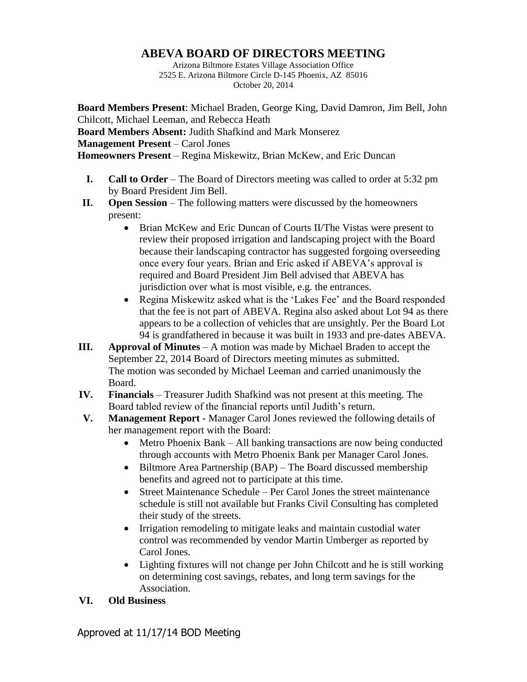## **ABEVA BOARD OF DIRECTORS MEETING**

Arizona Biltmore Estates Village Association Office 2525 E. Arizona Biltmore Circle D-145 Phoenix, AZ 85016 October 20, 2014

**Board Members Present**: Michael Braden, George King, David Damron, Jim Bell, John Chilcott, Michael Leeman, and Rebecca Heath **Board Members Absent:** Judith Shafkind and Mark Monserez **Management Present** – Carol Jones **Homeowners Present** – Regina Miskewitz, Brian McKew, and Eric Duncan

- **I. Call to Order** The Board of Directors meeting was called to order at 5:32 pm by Board President Jim Bell.
- **II. Open Session** The following matters were discussed by the homeowners present:
	- Brian McKew and Eric Duncan of Courts II/The Vistas were present to review their proposed irrigation and landscaping project with the Board because their landscaping contractor has suggested forgoing overseeding once every four years. Brian and Eric asked if ABEVA's approval is required and Board President Jim Bell advised that ABEVA has jurisdiction over what is most visible, e.g. the entrances.
	- Regina Miskewitz asked what is the 'Lakes Fee' and the Board responded that the fee is not part of ABEVA. Regina also asked about Lot 94 as there appears to be a collection of vehicles that are unsightly. Per the Board Lot 94 is grandfathered in because it was built in 1933 and pre-dates ABEVA.
- **III. Approval of Minutes** A motion was made by Michael Braden to accept the September 22, 2014 Board of Directors meeting minutes as submitted. The motion was seconded by Michael Leeman and carried unanimously the Board.
- **IV. Financials** Treasurer Judith Shafkind was not present at this meeting. The Board tabled review of the financial reports until Judith's return.
- **V. Management Report -** Manager Carol Jones reviewed the following details of her management report with the Board:
	- Metro Phoenix Bank All banking transactions are now being conducted through accounts with Metro Phoenix Bank per Manager Carol Jones.
	- Biltmore Area Partnership (BAP) The Board discussed membership benefits and agreed not to participate at this time.
	- Street Maintenance Schedule Per Carol Jones the street maintenance schedule is still not available but Franks Civil Consulting has completed their study of the streets.
	- Irrigation remodeling to mitigate leaks and maintain custodial water control was recommended by vendor Martin Umberger as reported by Carol Jones.
	- Lighting fixtures will not change per John Chilcott and he is still working on determining cost savings, rebates, and long term savings for the Association.
- **VI. Old Business**

Approved at 11/17/14 BOD Meeting